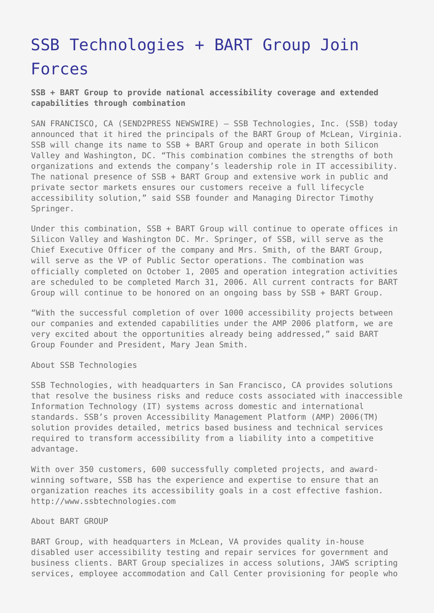## [SSB Technologies + BART Group Join](https://www.send2press.com/wire/2005-12-1201-006/) [Forces](https://www.send2press.com/wire/2005-12-1201-006/)

**SSB + BART Group to provide national accessibility coverage and extended capabilities through combination**

SAN FRANCISCO, CA (SEND2PRESS NEWSWIRE) — SSB Technologies, Inc. (SSB) today announced that it hired the principals of the BART Group of McLean, Virginia. SSB will change its name to SSB + BART Group and operate in both Silicon Valley and Washington, DC. "This combination combines the strengths of both organizations and extends the company's leadership role in IT accessibility. The national presence of SSB + BART Group and extensive work in public and private sector markets ensures our customers receive a full lifecycle accessibility solution," said SSB founder and Managing Director Timothy Springer.

Under this combination, SSB + BART Group will continue to operate offices in Silicon Valley and Washington DC. Mr. Springer, of SSB, will serve as the Chief Executive Officer of the company and Mrs. Smith, of the BART Group, will serve as the VP of Public Sector operations. The combination was officially completed on October 1, 2005 and operation integration activities are scheduled to be completed March 31, 2006. All current contracts for BART Group will continue to be honored on an ongoing bass by SSB + BART Group.

"With the successful completion of over 1000 accessibility projects between our companies and extended capabilities under the AMP 2006 platform, we are very excited about the opportunities already being addressed," said BART Group Founder and President, Mary Jean Smith.

About SSB Technologies

SSB Technologies, with headquarters in San Francisco, CA provides solutions that resolve the business risks and reduce costs associated with inaccessible Information Technology (IT) systems across domestic and international standards. SSB's proven Accessibility Management Platform (AMP) 2006(TM) solution provides detailed, metrics based business and technical services required to transform accessibility from a liability into a competitive advantage.

With over 350 customers, 600 successfully completed projects, and awardwinning software, SSB has the experience and expertise to ensure that an organization reaches its accessibility goals in a cost effective fashion. http://www.ssbtechnologies.com

## About BART GROUP

BART Group, with headquarters in McLean, VA provides quality in-house disabled user accessibility testing and repair services for government and business clients. BART Group specializes in access solutions, JAWS scripting services, employee accommodation and Call Center provisioning for people who